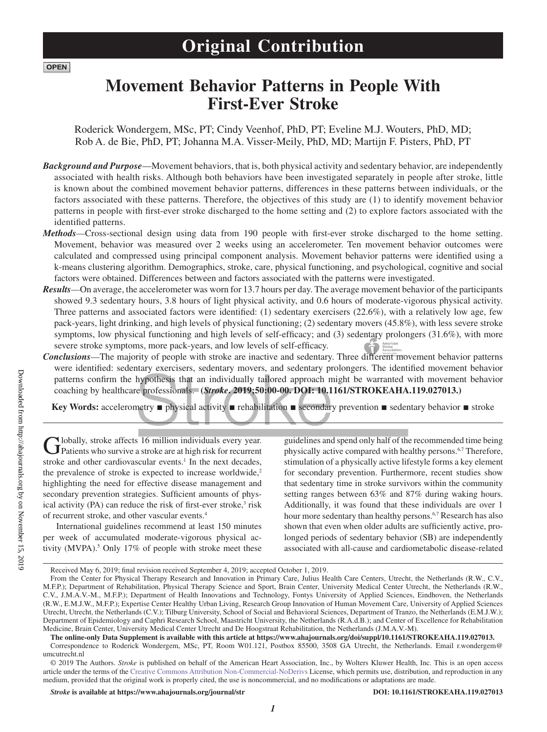## **Original Contribution**

### **Movement Behavior Patterns in People With First-Ever Stroke**

Roderick Wondergem, MSc, PT; Cindy Veenhof, PhD, PT; Eveline M.J. Wouters, PhD, MD; Rob A. de Bie, PhD, PT; Johanna M.A. Visser-Meily, PhD, MD; Martijn F. Pisters, PhD, PT

- *Background and Purpose*—Movement behaviors, that is, both physical activity and sedentary behavior, are independently associated with health risks. Although both behaviors have been investigated separately in people after stroke, little is known about the combined movement behavior patterns, differences in these patterns between individuals, or the factors associated with these patterns. Therefore, the objectives of this study are (1) to identify movement behavior patterns in people with first-ever stroke discharged to the home setting and (2) to explore factors associated with the identified patterns.
- *Methods*—Cross-sectional design using data from 190 people with first-ever stroke discharged to the home setting. Movement, behavior was measured over 2 weeks using an accelerometer. Ten movement behavior outcomes were calculated and compressed using principal component analysis. Movement behavior patterns were identified using a k-means clustering algorithm. Demographics, stroke, care, physical functioning, and psychological, cognitive and social factors were obtained. Differences between and factors associated with the patterns were investigated.
- *Results*—On average, the accelerometer was worn for 13.7 hours per day. The average movement behavior of the participants showed 9.3 sedentary hours, 3.8 hours of light physical activity, and 0.6 hours of moderate-vigorous physical activity. Three patterns and associated factors were identified: (1) sedentary exercisers (22.6%), with a relatively low age, few pack-years, light drinking, and high levels of physical functioning; (2) sedentary movers (45.8%), with less severe stroke symptoms, low physical functioning and high levels of self-efficacy; and (3) sedentary prolongers (31.6%), with more severe stroke symptoms, more pack-years, and low levels of self-efficacy. American<br>
Stroke<br>
Association
- *Conclusions*—The majority of people with stroke are inactive and sedentary. Three different movement behavior patterns were identified: sedentary exercisers, sedentary movers, and sedentary prolongers. The identified movement behavior patterns confirm the hypothesis that an individually tailored approach might be warranted with movement behavior coaching by healthcare professionals. **(***Stroke***. 2019;50:00-00. DOI: 10.1161/STROKEAHA.119.027013.)**

**Key Words:** accelerometry ■ physical activity ■ rehabilitation ■ secondary prevention ■ sedentary behavior ■ stroke

Globally, stroke affects 16 million individuals every year.<br>
Patients who survive a stroke are at high risk for recurrent stroke and other cardiovascular events.<sup>1</sup> In the next decades, the prevalence of stroke is expected to increase worldwide, $2$ highlighting the need for effective disease management and secondary prevention strategies. Sufficient amounts of physical activity (PA) can reduce the risk of first-ever stroke,<sup>3</sup> risk of recurrent stroke, and other vascular events.4

International guidelines recommend at least 150 minutes per week of accumulated moderate-vigorous physical activity (MVPA).<sup>5</sup> Only 17% of people with stroke meet these guidelines and spend only half of the recommended time being physically active compared with healthy persons.6,7 Therefore, stimulation of a physically active lifestyle forms a key element for secondary prevention. Furthermore, recent studies show that sedentary time in stroke survivors within the community setting ranges between 63% and 87% during waking hours. Additionally, it was found that these individuals are over 1 hour more sedentary than healthy persons.<sup>6,7</sup> Research has also shown that even when older adults are sufficiently active, prolonged periods of sedentary behavior (SB) are independently associated with all-cause and cardiometabolic disease-related

Received May 6, 2019; final revision received September 4, 2019; accepted October 1, 2019.

From the Center for Physical Therapy Research and Innovation in Primary Care, Julius Health Care Centers, Utrecht, the Netherlands (R.W., C.V., M.F.P.); Department of Rehabilitation, Physical Therapy Science and Sport, Brain Center, University Medical Center Utrecht, the Netherlands (R.W., C.V., J.M.A.V.-M., M.F.P.); Department of Health Innovations and Technology, Fontys University of Applied Sciences, Eindhoven, the Netherlands (R.W., E.M.J.W., M.F.P.); Expertise Center Healthy Urban Living, Research Group Innovation of Human Movement Care, University of Applied Sciences Utrecht, Utrecht, the Netherlands (C.V.); Tilburg University, School of Social and Behavioral Sciences, Department of Tranzo, the Netherlands (E.M.J.W.); Department of Epidemiology and Caphri Research School, Maastricht University, the Netherlands (R.A.d.B.); and Center of Excellence for Rehabilitation Medicine, Brain Center, University Medical Center Utrecht and De Hoogstraat Rehabilitation, the Netherlands (J.M.A.V.-M).

**The online-only Data Supplement is available with this article at https://www.ahajournals.org/doi/suppl/10.1161/STROKEAHA.119.027013.**

Correspondence to Roderick Wondergem, MSc, PT, Room W01.121, Postbox 85500, 3508 GA Utrecht, the Netherlands. Email r.wondergem@ umcutrecht.nl

<sup>© 2019</sup> The Authors. *Stroke* is published on behalf of the American Heart Association, Inc., by Wolters Kluwer Health, Inc. This is an open access article under the terms of the Creative Commons Attribution Non-Commercial-NoDerivs License, which permits use, distribution, and reproduction in any medium, provided that the original work is properly cited, the use is noncommercial, and no modifications or adaptations are made.

*Stroke* **is available at https://www.ahajournals.org/journal/str DOI: 10.1161/STROKEAHA.119.027013**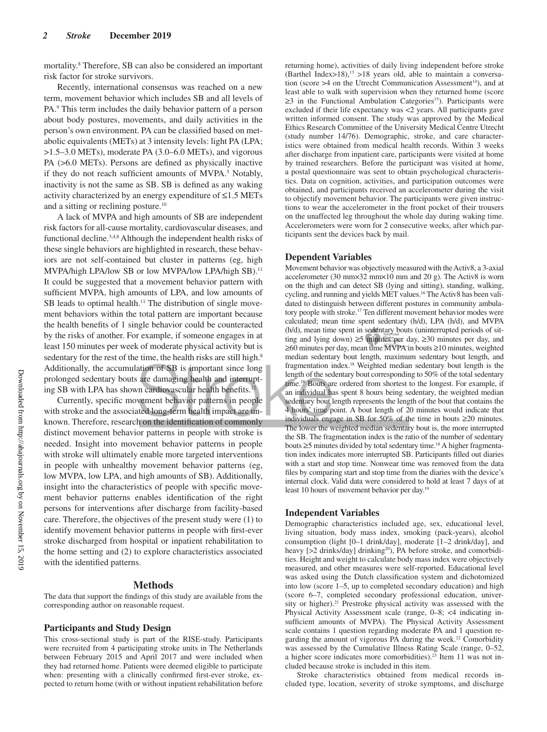mortality.8 Therefore, SB can also be considered an important risk factor for stroke survivors.

Recently, international consensus was reached on a new term, movement behavior which includes SB and all levels of PA.<sup>9</sup> This term includes the daily behavior pattern of a person about body postures, movements, and daily activities in the person's own environment. PA can be classified based on metabolic equivalents (METs) at 3 intensity levels: light PA (LPA; >1.5–3.0 METs), moderate PA (3.0–6.0 METs), and vigorous PA (>6.0 METs). Persons are defined as physically inactive if they do not reach sufficient amounts of MVPA.<sup>5</sup> Notably, inactivity is not the same as SB. SB is defined as any waking activity characterized by an energy expenditure of  $\leq 1.5$  METs and a sitting or reclining posture.10

A lack of MVPA and high amounts of SB are independent risk factors for all-cause mortality, cardiovascular diseases, and functional decline.3,4,8 Although the independent health risks of these single behaviors are highlighted in research, these behaviors are not self-contained but cluster in patterns (eg, high MVPA/high LPA/low SB or low MVPA/low LPA/high SB).11 It could be suggested that a movement behavior pattern with sufficient MVPA, high amounts of LPA, and low amounts of SB leads to optimal health.<sup>11</sup> The distribution of single movement behaviors within the total pattern are important because the health benefits of 1 single behavior could be counteracted by the risks of another. For example, if someone engages in at least 150 minutes per week of moderate physical activity but is sedentary for the rest of the time, the health risks are still high.<sup>8</sup> Additionally, the accumulation of SB is important since long prolonged sedentary bouts are damaging health and interrupting SB with LPA has shown cardiovascular health benefits.<sup>1</sup>

Currently, specific movement behavior patterns in people with stroke and the associated long-term health impact are unknown. Therefore, research on the identification of commonly distinct movement behavior patterns in people with stroke is needed. Insight into movement behavior patterns in people with stroke will ultimately enable more targeted interventions in people with unhealthy movement behavior patterns (eg, low MVPA, low LPA, and high amounts of SB). Additionally, insight into the characteristics of people with specific movement behavior patterns enables identification of the right persons for interventions after discharge from facility-based care. Therefore, the objectives of the present study were (1) to identify movement behavior patterns in people with first-ever stroke discharged from hospital or inpatient rehabilitation to the home setting and (2) to explore characteristics associated with the identified patterns.

#### **Methods**

The data that support the findings of this study are available from the corresponding author on reasonable request.

#### **Participants and Study Design**

This cross-sectional study is part of the RISE-study. Participants were recruited from 4 participating stroke units in The Netherlands between February 2015 and April 2017 and were included when they had returned home. Patients were deemed eligible to participate when: presenting with a clinically confirmed first-ever stroke, expected to return home (with or without inpatient rehabilitation before

returning home), activities of daily living independent before stroke (Barthel Index>18),<sup>13</sup> >18 years old, able to maintain a conversation (score  $>4$  on the Utrecht Communication Assessment<sup>14</sup>), and at least able to walk with supervision when they returned home (score ≥3 in the Functional Ambulation Categories<sup>15</sup>). Participants were excluded if their life expectancy was <2 years. All participants gave written informed consent. The study was approved by the Medical Ethics Research Committee of the University Medical Centre Utrecht (study number 14/76). Demographic, stroke, and care characteristics were obtained from medical health records. Within 3 weeks after discharge from inpatient care, participants were visited at home by trained researchers. Before the participant was visited at home, a postal questionnaire was sent to obtain psychological characteristics. Data on cognition, activities, and participation outcomes were obtained, and participants received an accelerometer during the visit to objectify movement behavior. The participants were given instructions to wear the accelerometer in the front pocket of their trousers on the unaffected leg throughout the whole day during waking time. Accelerometers were worn for 2 consecutive weeks, after which participants sent the devices back by mail.

#### **Dependent Variables**

Movement behavior was objectively measured with the Activ8, a 3-axial accelerometer (30 mm×32 mm×10 mm and 20 g). The Activ8 is worn on the thigh and can detect SB (lying and sitting), standing, walking, cycling, and running and yields MET values.<sup>16</sup> The Activ8 has been validated to distinguish between different postures in community ambulatory people with stroke.17 Ten different movement behavior modes were calculated; mean time spent sedentary (h/d), LPA (h/d), and MVPA (h/d), mean time spent in sedentary bouts (uninterrupted periods of sitting and lying down) ≥5 minutes per day, ≥30 minutes per day, and ≥60 minutes per day, mean time MVPA in bouts ≥10 minutes, weighted median sedentary bout length, maximum sedentary bout length, and fragmentation index.18 Weighted median sedentary bout length is the length of the sedentary bout corresponding to 50% of the total sedentary time.18 Bouts are ordered from shortest to the longest. For example, if an individual has spent 8 hours being sedentary, the weighted median sedentary bout length represents the length of the bout that contains the 4 hours' time point. A bout length of 20 minutes would indicate that individuals engage in SB for 50% of the time in bouts ≥20 minutes. The lower the weighted median sedentary bout is, the more interrupted the SB. The fragmentation index is the ratio of the number of sedentary bouts  $\geq$ 5 minutes divided by total sedentary time.<sup>18</sup> A higher fragmentation index indicates more interrupted SB. Participants filled out diaries with a start and stop time. Nonwear time was removed from the data files by comparing start and stop time from the diaries with the device's internal clock. Valid data were considered to hold at least 7 days of at least 10 hours of movement behavior per day.19

#### **Independent Variables**

Demographic characteristics included age, sex, educational level, living situation, body mass index, smoking (pack-years), alcohol consumption (light [0–1 drink/day], moderate [1–2 drink/day], and heavy  $[>2$  drinks/day] drinking<sup>20</sup>), PA before stroke, and comorbidities. Height and weight to calculate body mass index were objectively measured, and other measures were self-reported. Educational level was asked using the Dutch classification system and dichotomized into low (score 1–5, up to completed secondary education) and high (score 6–7, completed secondary professional education, university or higher).<sup>21</sup> Prestroke physical activity was assessed with the Physical Activity Assessment scale (range, 0–8; <4 indicating insufficient amounts of MVPA). The Physical Activity Assessment scale contains 1 question regarding moderate PA and 1 question regarding the amount of vigorous PA during the week.<sup>22</sup> Comorbidity was assessed by the Cumulative Illness Rating Scale (range, 0–52, a higher score indicates more comorbidities).23 Item 11 was not included because stroke is included in this item.

Stroke characteristics obtained from medical records included type, location, severity of stroke symptoms, and discharge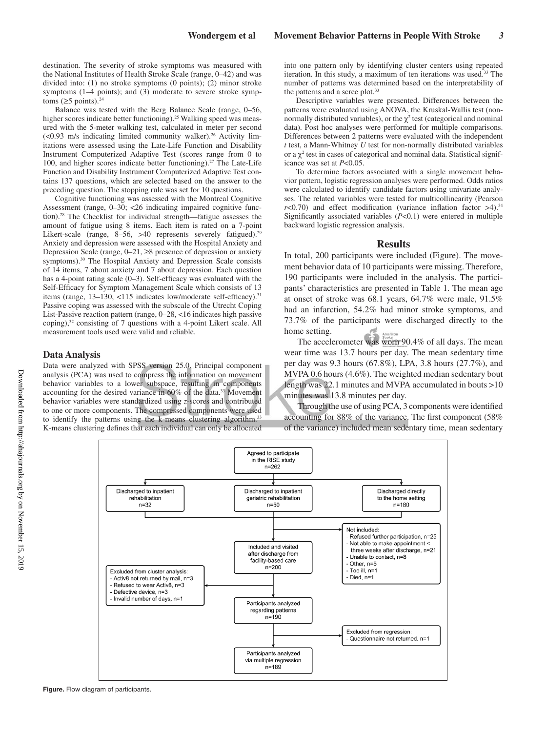destination. The severity of stroke symptoms was measured with the National Institutes of Health Stroke Scale (range, 0–42) and was divided into: (1) no stroke symptoms (0 points); (2) minor stroke symptoms (1–4 points); and (3) moderate to severe stroke symptoms ( $\geq$ 5 points).<sup>24</sup>

Balance was tested with the Berg Balance Scale (range, 0–56, higher scores indicate better functioning).<sup>25</sup> Walking speed was measured with the 5-meter walking test, calculated in meter per second  $\leq$  0.93 m/s indicating limited community walker).<sup>26</sup> Activity limitations were assessed using the Late-Life Function and Disability Instrument Computerized Adaptive Test (scores range from 0 to 100, and higher scores indicate better functioning).<sup>27</sup> The Late-Life Function and Disability Instrument Computerized Adaptive Test contains 137 questions, which are selected based on the answer to the preceding question. The stopping rule was set for 10 questions.

Cognitive functioning was assessed with the Montreal Cognitive Assessment (range, 0–30; <26 indicating impaired cognitive function).28 The Checklist for individual strength—fatigue assesses the amount of fatigue using 8 items. Each item is rated on a 7-point Likert-scale (range, 8–56, >40 represents severely fatigued).<sup>29</sup> Anxiety and depression were assessed with the Hospital Anxiety and Depression Scale (range, 0–21, ≥8 presence of depression or anxiety symptoms).<sup>30</sup> The Hospital Anxiety and Depression Scale consists of 14 items, 7 about anxiety and 7 about depression. Each question has a 4-point rating scale (0–3). Self-efficacy was evaluated with the Self-Efficacy for Symptom Management Scale which consists of 13 items (range, 13–130, <115 indicates low/moderate self-efficacy).<sup>31</sup> Passive coping was assessed with the subscale of the Utrecht Coping List-Passive reaction pattern (range, 0–28, <16 indicates high passive coping),<sup>32</sup> consisting of 7 questions with a 4-point Likert scale. All measurement tools used were valid and reliable.

#### **Data Analysis**

Data were analyzed with SPSS version 25.0. Principal component analysis (PCA) was used to compress the information on movement behavior variables to a lower subspace, resulting in components accounting for the desired variance in 60% of the data.<sup>33</sup> Movement behavior variables were standardized using *z*-scores and contributed to one or more components. The compressed components were used to identify the patterns using the k-means clustering algorithm.<sup>3</sup> K-means clustering defines that each individual can only be allocated

into one pattern only by identifying cluster centers using repeated iteration. In this study, a maximum of ten iterations was used.<sup>33</sup> The number of patterns was determined based on the interpretability of the patterns and a scree plot.<sup>33</sup>

Descriptive variables were presented. Differences between the patterns were evaluated using ANOVA, the Kruskal-Wallis test (nonnormally distributed variables), or the  $\chi^2$  test (categorical and nominal data). Post hoc analyses were performed for multiple comparisons. Differences between 2 patterns were evaluated with the independent *t* test, a Mann-Whitney *U* test for non-normally distributed variables or a  $\chi^2$  test in cases of categorical and nominal data. Statistical significance was set at *P*<0.05.

To determine factors associated with a single movement behavior pattern, logistic regression analyses were performed. Odds ratios were calculated to identify candidate factors using univariate analyses. The related variables were tested for multicollinearity (Pearson  $r$ <0.70) and effect modification (variance inflation factor  $>4$ ).<sup>34</sup> Significantly associated variables (*P*<0.1) were entered in multiple backward logistic regression analysis.

#### **Results**

In total, 200 participants were included (Figure). The movement behavior data of 10 participants were missing. Therefore, 190 participants were included in the analysis. The participants' characteristics are presented in Table 1. The mean age at onset of stroke was 68.1 years, 64.7% were male, 91.5% had an infarction, 54.2% had minor stroke symptoms, and 73.7% of the participants were discharged directly to the home setting.

The accelerometer was worn 90.4% of all days. The mean wear time was 13.7 hours per day. The mean sedentary time per day was 9.3 hours (67.8%), LPA, 3.8 hours (27.7%), and MVPA 0.6 hours (4.6%). The weighted median sedentary bout length was 22.1 minutes and MVPA accumulated in bouts >10 minutes was 13.8 minutes per day.

Through the use of using PCA, 3 components were identified accounting for 88% of the variance. The first component (58% of the variance) included mean sedentary time, mean sedentary



**Figure.** Flow diagram of participants.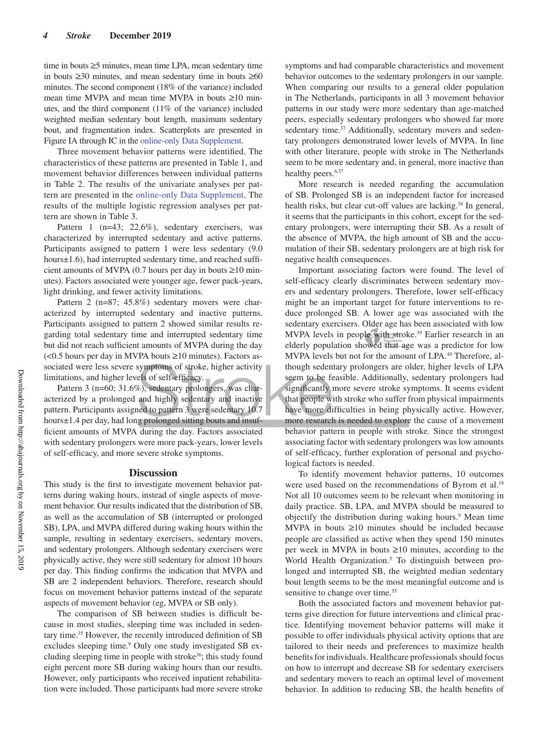time in bouts ≥5 minutes, mean time LPA, mean sedentary time in bouts ≥30 minutes, and mean sedentary time in bouts ≥60 minutes. The second component (18% of the variance) included mean time MVPA and mean time MVPA in bouts ≥10 minutes, and the third component (11% of the variance) included weighted median sedentary bout length, maximum sedentary bout, and fragmentation index. Scatterplots are presented in Figure IA through IC in the online-only Data Supplement.

Three movement behavior patterns were identified. The characteristics of these patterns are presented in Table 1, and movement behavior differences between individual patterns in Table 2. The results of the univariate analyses per pattern are presented in the online-only Data Supplement. The results of the multiple logistic regression analyses per pattern are shown in Table 3.

Pattern 1 (n=43; 22.6%), sedentary exercisers, was characterized by interrupted sedentary and active patterns. Participants assigned to pattern 1 were less sedentary (9.0 hours±1.6), had interrupted sedentary time, and reached sufficient amounts of MVPA (0.7 hours per day in bouts  $\geq$ 10 minutes). Factors associated were younger age, fewer pack-years, light drinking, and fewer activity limitations.

Pattern 2 (n=87; 45.8%) sedentary movers were characterized by interrupted sedentary and inactive patterns. Participants assigned to pattern 2 showed similar results regarding total sedentary time and interrupted sedentary time but did not reach sufficient amounts of MVPA during the day  $\leq 0.5$  hours per day in MVPA bouts  $\geq 10$  minutes). Factors associated were less severe symptoms of stroke, higher activity limitations, and higher levels of self-efficacy.

Pattern 3 (n=60; 31.6%), sedentary prolongers, was characterized by a prolonged and highly sedentary and inactive pattern. Participants assigned to pattern 3 were sedentary 10.7 hours±1.4 per day, had long prolonged sitting bouts and insufficient amounts of MVPA during the day. Factors associated with sedentary prolongers were more pack-years, lower levels of self-efficacy, and more severe stroke symptoms.

#### **Discussion**

This study is the first to investigate movement behavior patterns during waking hours, instead of single aspects of movement behavior. Our results indicated that the distribution of SB, as well as the accumulation of SB (interrupted or prolonged SB), LPA, and MVPA differed during waking hours within the sample, resulting in sedentary exercisers, sedentary movers, and sedentary prolongers. Although sedentary exercisers were physically active, they were still sedentary for almost 10 hours per day. This finding confirms the indication that MVPA and SB are 2 independent behaviors. Therefore, research should focus on movement behavior patterns instead of the separate aspects of movement behavior (eg, MVPA or SB only).

The comparison of SB between studies is difficult because in most studies, sleeping time was included in sedentary time.35 However, the recently introduced definition of SB excludes sleeping time.<sup>9</sup> Only one study investigated SB excluding sleeping time in people with stroke<sup>36</sup>; this study found eight percent more SB during waking hours than our results. However, only participants who received inpatient rehabilitation were included. Those participants had more severe stroke

symptoms and had comparable characteristics and movement behavior outcomes to the sedentary prolongers in our sample. When comparing our results to a general older population in The Netherlands, participants in all 3 movement behavior patterns in our study were more sedentary than age-matched peers, especially sedentary prolongers who showed far more sedentary time.<sup>37</sup> Additionally, sedentary movers and sedentary prolongers demonstrated lower levels of MVPA. In line with other literature, people with stroke in The Netherlands seem to be more sedentary and, in general, more inactive than healthy peers.<sup>6,37</sup>

More research is needed regarding the accumulation of SB. Prolonged SB is an independent factor for increased health risks, but clear cut-off values are lacking.<sup>38</sup> In general, it seems that the participants in this cohort, except for the sedentary prolongers, were interrupting their SB. As a result of the absence of MVPA, the high amount of SB and the accumulation of their SB, sedentary prolongers are at high risk for negative health consequences.

Important associating factors were found. The level of self-efficacy clearly discriminates between sedentary movers and sedentary prolongers. Therefore, lower self-efficacy might be an important target for future interventions to reduce prolonged SB. A lower age was associated with the sedentary exercisers. Older age has been associated with low MVPA levels in people with stroke.<sup>39</sup> Earlier research in an elderly population showed that age was a predictor for low MVPA levels but not for the amount of LPA.<sup>40</sup> Therefore, although sedentary prolongers are older, higher levels of LPA seem to be feasible. Additionally, sedentary prolongers had significantly more severe stroke symptoms. It seems evident that people with stroke who suffer from physical impairments have more difficulties in being physically active. However, more research is needed to explore the cause of a movement behavior pattern in people with stroke. Since the strongest associating factor with sedentary prolongers was low amounts of self-efficacy, further exploration of personal and psychological factors is needed.

To identify movement behavior patterns, 10 outcomes were used based on the recommendations of Byrom et al.<sup>18</sup> Not all 10 outcomes seem to be relevant when monitoring in daily practice. SB, LPA, and MVPA should be measured to objectify the distribution during waking hours.<sup>9</sup> Mean time MVPA in bouts  $\geq 10$  minutes should be included because people are classified as active when they spend 150 minutes per week in MVPA in bouts ≥10 minutes, according to the World Health Organization.<sup>5</sup> To distinguish between prolonged and interrupted SB, the weighted median sedentary bout length seems to be the most meaningful outcome and is sensitive to change over time.<sup>35</sup>

Both the associated factors and movement behavior patterns give direction for future interventions and clinical practice. Identifying movement behavior patterns will make it possible to offer individuals physical activity options that are tailored to their needs and preferences to maximize health benefits for individuals. Healthcare professionals should focus on how to interrupt and decrease SB for sedentary exercisers and sedentary movers to reach an optimal level of movement behavior. In addition to reducing SB, the health benefits of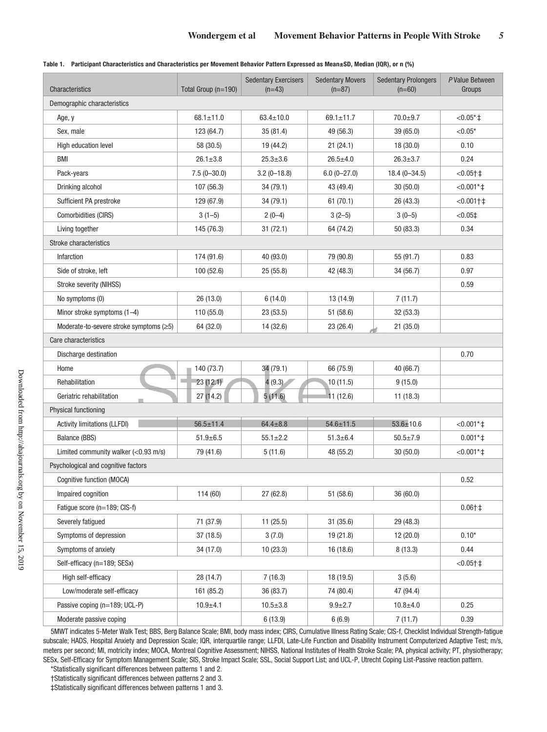|  | Table 1. Participant Characteristics and Characteristics per Movement Behavior Pattern Expressed as Mean±SD, Median (IQR), or n (%) |  |  |  |
|--|-------------------------------------------------------------------------------------------------------------------------------------|--|--|--|
|--|-------------------------------------------------------------------------------------------------------------------------------------|--|--|--|

| Characteristics                               | Total Group (n=190) | <b>Sedentary Exercisers</b><br>$(n=43)$ | <b>Sedentary Movers</b><br>$(n=87)$ | <b>Sedentary Prolongers</b><br>$(n=60)$ | P Value Between<br>Groups |
|-----------------------------------------------|---------------------|-----------------------------------------|-------------------------------------|-----------------------------------------|---------------------------|
| Demographic characteristics                   |                     |                                         |                                     |                                         |                           |
| Age, y                                        | $68.1 \pm 11.0$     | $63.4 \pm 10.0$                         | $69.1 \pm 11.7$                     | $70.0 + 9.7$                            | $< 0.05$ *+               |
| Sex, male                                     | 123 (64.7)          | 35(81.4)                                | 49 (56.3)                           | 39 (65.0)                               | ${<}0.05*$                |
| High education level                          | 58 (30.5)           | 19 (44.2)                               | 21(24.1)                            | 18(30.0)                                | 0.10                      |
| <b>BMI</b>                                    | $26.1 \pm 3.8$      | $25.3 \pm 3.6$                          | $26.5 + 4.0$                        | $26.3 \pm 3.7$                          | 0.24                      |
| Pack-years                                    | $7.5(0-30.0)$       | $3.2(0-18.8)$                           | $6.0(0-27.0)$                       | $18.4(0 - 34.5)$                        | $< 0.05 + 1$              |
| Drinking alcohol                              | 107 (56.3)          | 34(79.1)                                | 43 (49.4)                           | 30(50.0)                                | $< 0.001$ *+              |
| Sufficient PA prestroke                       | 129 (67.9)          | 34(79.1)                                | 61(70.1)                            | 26 (43.3)                               | $< 0.001 + 1$             |
| Comorbidities (CIRS)                          | $3(1-5)$            | $2(0-4)$                                | $3(2-5)$                            | $3(0-5)$                                | $< 0.05$ ‡                |
| Living together                               | 145 (76.3)          | 31(72.1)                                | 64 (74.2)                           | 50 (83.3)                               | 0.34                      |
| Stroke characteristics                        |                     |                                         |                                     |                                         |                           |
| Infarction                                    | 174 (91.6)          | 40 (93.0)                               | 79 (90.8)                           | 55 (91.7)                               | 0.83                      |
| Side of stroke, left                          | 100 (52.6)          | 25(55.8)                                | 42 (48.3)                           | 34 (56.7)                               | 0.97                      |
| Stroke severity (NIHSS)                       |                     |                                         |                                     |                                         | 0.59                      |
| No symptoms (0)                               | 26 (13.0)           | 6(14.0)                                 | 13 (14.9)                           | 7(11.7)                                 |                           |
| Minor stroke symptoms $(1-4)$                 | 110 (55.0)          | 23(53.5)                                | 51 (58.6)                           | 32 (53.3)                               |                           |
| Moderate-to-severe stroke symptoms $(\geq 5)$ | 64 (32.0)           | 14 (32.6)                               | 23 (26.4)                           | 21(35.0)                                |                           |
| Care characteristics                          |                     |                                         |                                     |                                         |                           |
| Discharge destination                         |                     |                                         |                                     |                                         | 0.70                      |
| Home                                          | 140 (73.7)          | 34 (79.1)                               | 66 (75.9)                           | 40 (66.7)                               |                           |
| Rehabilitation                                | 23(12.1)            | 4(9.3)                                  | 10(11.5)                            | 9(15.0)                                 |                           |
| Geriatric rehabilitation                      | 27(14.2)            | 5(11.6)                                 | 11(12.6)                            | 11(18.3)                                |                           |
| Physical functioning                          |                     |                                         |                                     |                                         |                           |
| <b>Activity limitations (LLFDI)</b>           | $56.5 \pm 11.4$     | $64.4 \pm 8.8$                          | $54.6 \pm 11.5$                     | $53.6 \pm 10.6$                         | $< 0.001$ *+              |
| Balance (BBS)                                 | $51.9 \pm 6.5$      | $55.1 \pm 2.2$                          | $51.3 \pm 6.4$                      | $50.5 \pm 7.9$                          | $0.001*$ ‡                |
| Limited community walker $(<0.93$ m/s)        | 79 (41.6)           | 5(11.6)                                 | 48 (55.2)                           | 30(50.0)                                | $<0.001*$                 |
| Psychological and cognitive factors           |                     |                                         |                                     |                                         |                           |
| Cognitive function (MOCA)                     |                     |                                         |                                     |                                         | 0.52                      |
| Impaired cognition                            | 114(60)             | 27 (62.8)                               | 51 (58.6)                           | 36 (60.0)                               |                           |
| Fatique score (n=189; CIS-f)                  |                     |                                         |                                     |                                         | $0.06 + 1$                |
| Severely fatigued                             | 71 (37.9)           | 11(25.5)                                | 31(35.6)                            | 29 (48.3)                               |                           |
| Symptoms of depression                        | 37 (18.5)           | 3(7.0)                                  | 19 (21.8)                           | 12(20.0)                                | $0.10*$                   |
| Symptoms of anxiety                           | 34 (17.0)           | 10(23.3)                                | 16 (18.6)                           | 8(13.3)                                 | 0.44                      |
| Self-efficacy (n=189; SESx)                   |                     |                                         |                                     |                                         | $< 0.05 + 1$              |
| High self-efficacy                            | 28 (14.7)           | 7(16.3)                                 | 18 (19.5)                           | 3(5.6)                                  |                           |
| Low/moderate self-efficacy                    | 161 (85.2)          | 36 (83.7)                               | 74 (80.4)                           | 47 (94.4)                               |                           |
| Passive coping (n=189; UCL-P)                 | $10.9 + 4.1$        | $10.5 + 3.8$                            | $9.9 + 2.7$                         | $10.8 + 4.0$                            | 0.25                      |
| Moderate passive coping                       |                     | 6(13.9)                                 | 6(6.9)                              | 7(11.7)                                 | 0.39                      |

5MWT indicates 5-Meter Walk Test; BBS, Berg Balance Scale; BMI, body mass index; CIRS, Cumulative Illness Rating Scale; CIS-f, Checklist Individual Strength-fatigue subscale; HADS, Hospital Anxiety and Depression Scale; IQR, interquartile range; LLFDI, Late-Life Function and Disability Instrument Computerized Adaptive Test; m/s, meters per second; MI, motricity index; MOCA, Montreal Cognitive Assessment; NIHSS, National Institutes of Health Stroke Scale; PA, physical activity; PT, physiotherapy; SESx, Self-Efficacy for Symptom Management Scale; SIS, Stroke Impact Scale; SSL, Social Support List; and UCL-P, Utrecht Coping List-Passive reaction pattern.

\*Statistically significant differences between patterns 1 and 2.

†Statistically significant differences between patterns 2 and 3.

‡Statistically significant differences between patterns 1 and 3.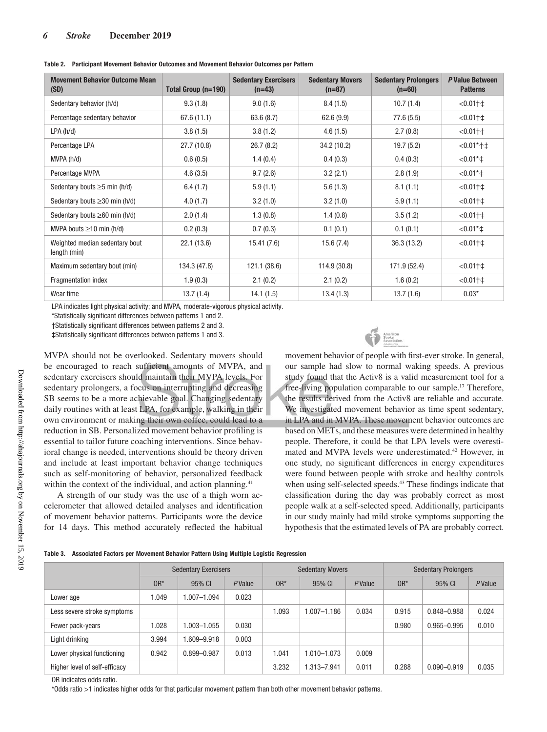| <b>Movement Behavior Outcome Mean</b><br>(SD)  | Total Group (n=190) | <b>Sedentary Exercisers</b><br>$(n=43)$ | <b>Sedentary Movers</b><br>$(n=87)$ | <b>Sedentary Prolongers</b><br>$(n=60)$ | P Value Between<br><b>Patterns</b> |
|------------------------------------------------|---------------------|-----------------------------------------|-------------------------------------|-----------------------------------------|------------------------------------|
| Sedentary behavior (h/d)                       | 9.3(1.8)            | 9.0(1.6)                                | 8.4(1.5)                            | 10.7(1.4)                               | $< 0.01 + 1$                       |
| Percentage sedentary behavior                  | 67.6 (11.1)         | 63.6(8.7)                               | 62.6(9.9)                           | 77.6 (5.5)                              | $< 0.01$ † $\pm$                   |
| LPA(h/d)                                       | 3.8(1.5)            | 3.8(1.2)                                | 4.6(1.5)                            | 2.7(0.8)                                | $< 0.011 + 1$                      |
| Percentage LPA                                 | 27.7 (10.8)         | 26.7(8.2)                               | 34.2 (10.2)                         | 19.7(5.2)                               | $< 0.01$ *†‡                       |
| MVPA(h/d)                                      | 0.6(0.5)            | 1.4(0.4)                                | 0.4(0.3)                            | 0.4(0.3)                                | $< 0.01$ * $\pm$                   |
| Percentage MVPA                                | 4.6(3.5)            | 9.7(2.6)                                | 3.2(2.1)                            | 2.8(1.9)                                | $<0.01*$ +                         |
| Sedentary bouts $\geq$ 5 min (h/d)             | 6.4(1.7)            | 5.9(1.1)                                | 5.6(1.3)                            | 8.1(1.1)                                | $< 0.011 + 1$                      |
| Sedentary bouts $\geq 30$ min (h/d)            | 4.0(1.7)            | 3.2(1.0)                                | 3.2(1.0)                            | 5.9(1.1)                                | $< 0.01$ † $\pm$                   |
| Sedentary bouts $\geq 60$ min (h/d)            | 2.0(1.4)            | 1.3(0.8)                                | 1.4(0.8)                            | 3.5(1.2)                                | $< 0.01$ † $\pm$                   |
| MVPA bouts $\geq$ 10 min (h/d)                 | 0.2(0.3)            | 0.7(0.3)                                | 0.1(0.1)                            | 0.1(0.1)                                | $<0.01*$ +                         |
| Weighted median sedentary bout<br>length (min) | 22.1 (13.6)         | 15.41(7.6)                              | 15.6(7.4)                           | 36.3(13.2)                              | $< 0.011 + 1$                      |
| Maximum sedentary bout (min)                   | 134.3 (47.8)        | 121.1 (38.6)                            | 114.9 (30.8)                        | 171.9 (52.4)                            | $< 0.01 + 1$                       |
| Fragmentation index                            | 1.9(0.3)            | 2.1(0.2)                                | 2.1(0.2)                            | 1.6(0.2)                                | $< 0.01$ † $\pm$                   |
| Wear time                                      | 13.7(1.4)           | 14.1(1.5)                               | 13.4(1.3)                           | 13.7(1.6)                               | $0.03*$                            |

**Table 2. Participant Movement Behavior Outcomes and Movement Behavior Outcomes per Pattern**

LPA indicates light physical activity; and MVPA, moderate-vigorous physical activity.

\*Statistically significant differences between patterns 1 and 2.

†Statistically significant differences between patterns 2 and 3.

‡Statistically significant differences between patterns 1 and 3.

MVPA should not be overlooked. Sedentary movers should be encouraged to reach sufficient amounts of MVPA, and sedentary exercisers should maintain their MVPA levels. For sedentary prolongers, a focus on interrupting and decreasing SB seems to be a more achievable goal. Changing sedentary daily routines with at least LPA, for example, walking in their own environment or making their own coffee, could lead to a reduction in SB. Personalized movement behavior profiling is essential to tailor future coaching interventions. Since behavioral change is needed, interventions should be theory driven and include at least important behavior change techniques such as self-monitoring of behavior, personalized feedback within the context of the individual, and action planning.<sup>41</sup>

A strength of our study was the use of a thigh worn accelerometer that allowed detailed analyses and identification of movement behavior patterns. Participants wore the device for 14 days. This method accurately reflected the habitual



movement behavior of people with first-ever stroke. In general, our sample had slow to normal waking speeds. A previous study found that the Activ8 is a valid measurement tool for a free-living population comparable to our sample.17 Therefore, the results derived from the Activ8 are reliable and accurate. We investigated movement behavior as time spent sedentary, in LPA and in MVPA. These movement behavior outcomes are based on METs, and these measures were determined in healthy people. Therefore, it could be that LPA levels were overestimated and MVPA levels were underestimated.<sup>42</sup> However, in one study, no significant differences in energy expenditures were found between people with stroke and healthy controls when using self-selected speeds.<sup>43</sup> These findings indicate that classification during the day was probably correct as most people walk at a self-selected speed. Additionally, participants in our study mainly had mild stroke symptoms supporting the hypothesis that the estimated levels of PA are probably correct.

|  | Table 3. Associated Factors per Movement Behavior Pattern Using Multiple Logistic Regression |  |  |
|--|----------------------------------------------------------------------------------------------|--|--|
|  |                                                                                              |  |  |

|                               | <b>Sedentary Exercisers</b> |                 | <b>Sedentary Movers</b> |        |                | <b>Sedentary Prolongers</b> |        |                 |                |
|-------------------------------|-----------------------------|-----------------|-------------------------|--------|----------------|-----------------------------|--------|-----------------|----------------|
|                               | $OR*$                       | 95% CI          | PValue                  | $OR^*$ | 95% CI         | PValue                      | $OR^*$ | 95% CI          | <b>P</b> Value |
| Lower age                     | 1.049                       | $0.007 - 1.094$ | 0.023                   |        |                |                             |        |                 |                |
| Less severe stroke symptoms   |                             |                 |                         | 1.093  | $.007 - 1.186$ | 0.034                       | 0.915  | 0.848-0.988     | 0.024          |
| Fewer pack-years              | 1.028                       | 1.003-1.055     | 0.030                   |        |                |                             | 0.980  | $0.965 - 0.995$ | 0.010          |
| Light drinking                | 3.994                       | $0.609 - 9.918$ | 0.003                   |        |                |                             |        |                 |                |
| Lower physical functioning    | 0.942                       | 0.899-0.987     | 0.013                   | 1.041  | $.010 - 1.073$ | 0.009                       |        |                 |                |
| Higher level of self-efficacy |                             |                 |                         | 3.232  | $.313 - 7.941$ | 0.011                       | 0.288  | $0.090 - 0.919$ | 0.035          |
|                               |                             |                 |                         |        |                |                             |        |                 |                |

OR indicates odds ratio.

\*Odds ratio >1 indicates higher odds for that particular movement pattern than both other movement behavior patterns.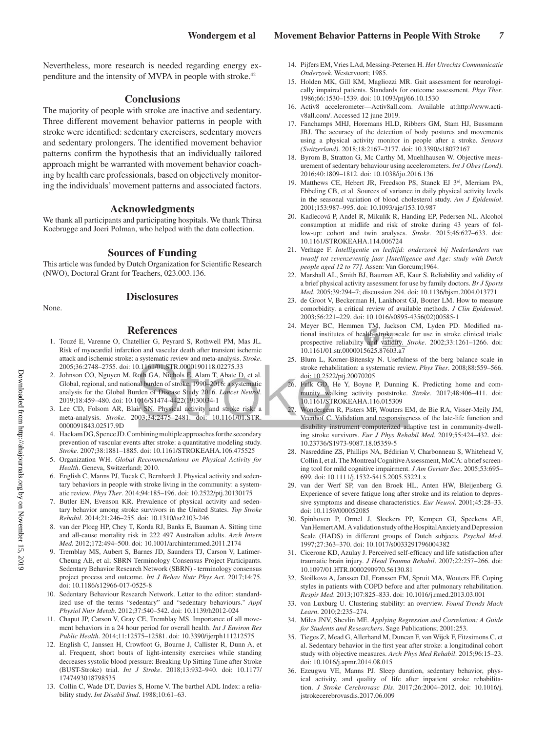Nevertheless, more research is needed regarding energy expenditure and the intensity of MVPA in people with stroke.42

#### **Conclusions**

The majority of people with stroke are inactive and sedentary. Three different movement behavior patterns in people with stroke were identified: sedentary exercisers, sedentary movers and sedentary prolongers. The identified movement behavior patterns confirm the hypothesis that an individually tailored approach might be warranted with movement behavior coaching by health care professionals, based on objectively monitoring the individuals' movement patterns and associated factors.

#### **Acknowledgments**

We thank all participants and participating hospitals. We thank Thirsa Koebrugge and Joeri Polman, who helped with the data collection.

#### **Sources of Funding**

This article was funded by Dutch Organization for Scientific Research (NWO), Doctoral Grant for Teachers, 023.003.136.

None.

#### **Disclosures**

#### **References**

- 1. Touzé E, Varenne O, Chatellier G, Peyrard S, Rothwell PM, Mas JL. Risk of myocardial infarction and vascular death after transient ischemic attack and ischemic stroke: a systematic review and meta-analysis. *Stroke*. 2005;36:2748–2755. doi: 10.1161/01.STR.0000190118.02275.33
- 2. Johnson CO, Nguyen M, Roth GA, Nichols E, Alam T, Abate D, et al. Global, regional, and national burden of stroke, 1990–2016: a systematic analysis for the Global Burden of Disease Study 2016. *Lancet Neurol*. 2019;18:459–480. doi: 10.1016/S1474-4422(19)30034-1
- 3. Lee CD, Folsom AR, Blair SN. Physical activity and stroke risk: a meta-analysis. *Stroke*. 2003;34:2475–2481. doi: 10.1161/01.STR. 0000091843.02517.9D
- 4. Hackam DG, Spence JD. Combining multiple approaches for the secondary prevention of vascular events after stroke: a quantitative modeling study. *Stroke*. 2007;38:1881–1885. doi: 10.1161/STROKEAHA.106.475525
- 5. Organization WH. *Global Recommendations on Physical Activity for Health*. Geneva, Switzerland; 2010.
- 6. English C, Manns PJ, Tucak C, Bernhardt J. Physical activity and sedentary behaviors in people with stroke living in the community: a systematic review. *Phys Ther*. 2014;94:185–196. doi: 10.2522/ptj.20130175
- 7. Butler EN, Evenson KR. Prevalence of physical activity and sedentary behavior among stroke survivors in the United States. *Top Stroke Rehabil*. 2014;21:246–255. doi: 10.1310/tsr2103-246
- 8. van der Ploeg HP, Chey T, Korda RJ, Banks E, Bauman A. Sitting time and all-cause mortality risk in 222 497 Australian adults. *Arch Intern Med*. 2012;172:494–500. doi: 10.1001/archinternmed.2011.2174
- 9. Tremblay MS, Aubert S, Barnes JD, Saunders TJ, Carson V, Latimer-Cheung AE, et al; SBRN Terminology Consensus Project Participants. Sedentary Behavior Research Network (SBRN) - terminology consensus project process and outcome. *Int J Behav Nutr Phys Act*. 2017;14:75. doi: 10.1186/s12966-017-0525-8
- 10. Sedentary Behaviour Research Network. Letter to the editor: standardized use of the terms "sedentary" and "sedentary behaviours." *Appl Physiol Nutr Metab*. 2012;37:540–542. doi: 10.1139/h2012-024
- 11. Chaput JP, Carson V, Gray CE, Tremblay MS. Importance of all movement behaviors in a 24 hour period for overall health. *Int J Environ Res Public Health*. 2014;11:12575–12581. doi: 10.3390/ijerph111212575
- 12. English C, Janssen H, Crowfoot G, Bourne J, Callister R, Dunn A, et al. Frequent, short bouts of light-intensity exercises while standing decreases systolic blood pressure: Breaking Up Sitting Time after Stroke (BUST-Stroke) trial. *Int J Stroke*. 2018;13:932–940. doi: 10.1177/ 1747493018798535
- 13. Collin C, Wade DT, Davies S, Horne V. The barthel ADL Index: a reliability study. *Int Disabil Stud*. 1988;10:61–63.
- 14. Pijfers EM, Vries LAd, Messing-Petersen H. *Het Utrechts Communicatie Onderzoek*. Westervoort; 1985.
- 15. Holden MK, Gill KM, Magliozzi MR. Gait assessment for neurologically impaired patients. Standards for outcome assessment. *Phys Ther*. 1986;66:1530–1539. doi: 10.1093/ptj/66.10.1530
- 16. Activ8 accelerometer—Activ8all.com. Available at:http://www.activ8all.com/. Accessed 12 june 2019.
- 17. Fanchamps MHJ, Horemans HLD, Ribbers GM, Stam HJ, Bussmann JBJ. The accuracy of the detection of body postures and movements using a physical activity monitor in people after a stroke. *Sensors (Switzerland)*. 2018;18:2167–2177. doi: 10.3390/s18072167
- 18. Byrom B, Stratton G, Mc Carthy M, Muehlhausen W. Objective measurement of sedentary behaviour using accelerometers. *Int J Obes (Lond)*. 2016;40:1809–1812. doi: 10.1038/ijo.2016.136
- 19. Matthews CE, Hebert JR, Freedson PS, Stanek EJ 3<sup>rd</sup>, Merriam PA, Ebbeling CB, et al. Sources of variance in daily physical activity levels in the seasonal variation of blood cholesterol study. *Am J Epidemiol*. 2001;153:987–995. doi: 10.1093/aje/153.10.987
- 20. Kadlecová P, Andel R, Mikulík R, Handing EP, Pedersen NL. Alcohol consumption at midlife and risk of stroke during 43 years of follow-up: cohort and twin analyses. *Stroke*. 2015;46:627–633. doi: 10.1161/STROKEAHA.114.006724
- 21. Verhage F. *Intelligentie en leeftijd: onderzoek bij Nederlanders van twaalf tot zevenzeventig jaar [Intelligence and Age: study with Dutch people aged 12 to 77]*. Assen: Van Gorcum;1964.
- 22. Marshall AL, Smith BJ, Bauman AE, Kaur S. Reliability and validity of a brief physical activity assessment for use by family doctors. *Br J Sports Med*. 2005;39:294–7; discussion 294. doi: 10.1136/bjsm.2004.013771
- 23. de Groot V, Beckerman H, Lankhorst GJ, Bouter LM. How to measure comorbidity. a critical review of available methods. *J Clin Epidemiol*. 2003;56:221–229. doi: 10.1016/s0895-4356(02)00585-1
- 24. Meyer BC, Hemmen TM, Jackson CM, Lyden PD. Modified national institutes of health stroke scale for use in stroke clinical trials: prospective reliability and validity. *Stroke*. 2002;33:1261–1266. doi: 10.1161/01.str.0000015625.87603.a7
- 25. Blum L, Korner-Bitensky N. Usefulness of the berg balance scale in stroke rehabilitation: a systematic review. *Phys Ther*. 2008;88:559–566. doi: 10.2522/ptj.20070205
- 26. Fulk GD, He Y, Boyne P, Dunning K. Predicting home and community walking activity poststroke. *Stroke*. 2017;48:406–411. doi: 10.1161/STROKEAHA.116.015309
- 27. Wondergem R, Pisters MF, Wouters EM, de Bie RA, Visser-Meily JM, Veenhof C. Validation and responsiveness of the late-life function and disability instrument computerized adaptive test in community-dwelling stroke survivors. *Eur J Phys Rehabil Med*. 2019;55:424–432. doi: 10.23736/S1973-9087.18.05359-5
- 28. Nasreddine ZS, Phillips NA, Bédirian V, Charbonneau S, Whitehead V, Collin I, et al. The Montreal Cognitive Assessment, MoCA: a brief screening tool for mild cognitive impairment. *J Am Geriatr Soc*. 2005;53:695– 699. doi: 10.1111/j.1532-5415.2005.53221.x
- 29. van der Werf SP, van den Broek HL, Anten HW, Bleijenberg G. Experience of severe fatigue long after stroke and its relation to depressive symptoms and disease characteristics. *Eur Neurol*. 2001;45:28–33. doi: 10.1159/000052085
- 30. Spinhoven P, Ormel J, Sloekers PP, Kempen GI, Speckens AE, Van Hemert AM. A validation study of the Hospital Anxiety and Depression Scale (HADS) in different groups of Dutch subjects. *Psychol Med*. 1997;27:363–370. doi: 10.1017/s0033291796004382
- 31. Cicerone KD, Azulay J. Perceived self-efficacy and life satisfaction after traumatic brain injury. *J Head Trauma Rehabil*. 2007;22:257–266. doi: 10.1097/01.HTR.0000290970.56130.81
- 32. Stoilkova A, Janssen DJ, Franssen FM, Spruit MA, Wouters EF. Coping styles in patients with COPD before and after pulmonary rehabilitation. *Respir Med*. 2013;107:825–833. doi: 10.1016/j.rmed.2013.03.001
- 33. von Luxburg U. Clustering stability: an overview. *Found Trends Mach Learn*. 2010;2:235–274.
- 34. Miles JNV, Shevlin ME. *Applying Regression and Correlation: A Guide for Students and Researchers*. Sage Publications; 2001:253.
- 35. Tieges Z, Mead G, Allerhand M, Duncan F, van Wijck F, Fitzsimons C, et al. Sedentary behavior in the first year after stroke: a longitudinal cohort study with objective measures. *Arch Phys Med Rehabil*. 2015;96:15–23. doi: 10.1016/j.apmr.2014.08.015
- 36. Ezeugwu VE, Manns PJ. Sleep duration, sedentary behavior, physical activity, and quality of life after inpatient stroke rehabilitation. *J Stroke Cerebrovasc Dis*. 2017;26:2004–2012. doi: 10.1016/j. jstrokecerebrovasdis.2017.06.009